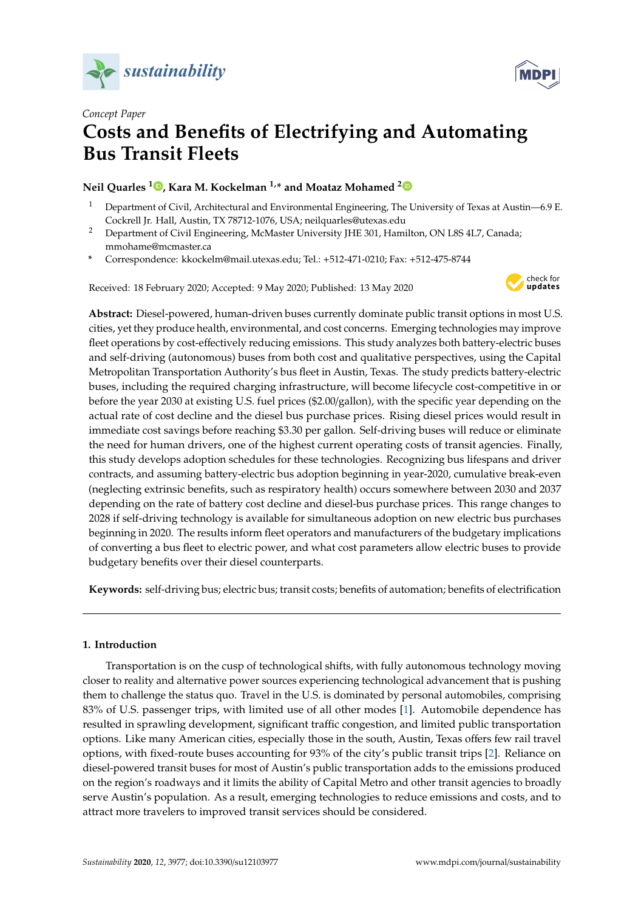



# *Concept Paper* **Costs and Benefits of Electrifying and Automating Bus Transit Fleets**

# **Neil Quarles <sup>1</sup> [,](https://orcid.org/0000-0001-5049-828X) Kara M. Kockelman 1,\* and Moataz Mohamed [2](https://orcid.org/0000-0002-1345-7240)**

- <sup>1</sup> Department of Civil, Architectural and Environmental Engineering, The University of Texas at Austin—6.9 E. Cockrell Jr. Hall, Austin, TX 78712-1076, USA; neilquarles@utexas.edu
- <sup>2</sup> Department of Civil Engineering, McMaster University JHE 301, Hamilton, ON L8S 4L7, Canada; mmohame@mcmaster.ca
- **\*** Correspondence: kkockelm@mail.utexas.edu; Tel.: +512-471-0210; Fax: +512-475-8744

Received: 18 February 2020; Accepted: 9 May 2020; Published: 13 May 2020



**Abstract:** Diesel-powered, human-driven buses currently dominate public transit options in most U.S. cities, yet they produce health, environmental, and cost concerns. Emerging technologies may improve fleet operations by cost-effectively reducing emissions. This study analyzes both battery-electric buses and self-driving (autonomous) buses from both cost and qualitative perspectives, using the Capital Metropolitan Transportation Authority's bus fleet in Austin, Texas. The study predicts battery-electric buses, including the required charging infrastructure, will become lifecycle cost-competitive in or before the year 2030 at existing U.S. fuel prices (\$2.00/gallon), with the specific year depending on the actual rate of cost decline and the diesel bus purchase prices. Rising diesel prices would result in immediate cost savings before reaching \$3.30 per gallon. Self-driving buses will reduce or eliminate the need for human drivers, one of the highest current operating costs of transit agencies. Finally, this study develops adoption schedules for these technologies. Recognizing bus lifespans and driver contracts, and assuming battery-electric bus adoption beginning in year-2020, cumulative break-even (neglecting extrinsic benefits, such as respiratory health) occurs somewhere between 2030 and 2037 depending on the rate of battery cost decline and diesel-bus purchase prices. This range changes to 2028 if self-driving technology is available for simultaneous adoption on new electric bus purchases beginning in 2020. The results inform fleet operators and manufacturers of the budgetary implications of converting a bus fleet to electric power, and what cost parameters allow electric buses to provide budgetary benefits over their diesel counterparts.

**Keywords:** self-driving bus; electric bus; transit costs; benefits of automation; benefits of electrification

# **1. Introduction**

Transportation is on the cusp of technological shifts, with fully autonomous technology moving closer to reality and alternative power sources experiencing technological advancement that is pushing them to challenge the status quo. Travel in the U.S. is dominated by personal automobiles, comprising 83% of U.S. passenger trips, with limited use of all other modes [\[1\]](#page-12-0). Automobile dependence has resulted in sprawling development, significant traffic congestion, and limited public transportation options. Like many American cities, especially those in the south, Austin, Texas offers few rail travel options, with fixed-route buses accounting for 93% of the city's public transit trips [\[2\]](#page-12-1). Reliance on diesel-powered transit buses for most of Austin's public transportation adds to the emissions produced on the region's roadways and it limits the ability of Capital Metro and other transit agencies to broadly serve Austin's population. As a result, emerging technologies to reduce emissions and costs, and to attract more travelers to improved transit services should be considered.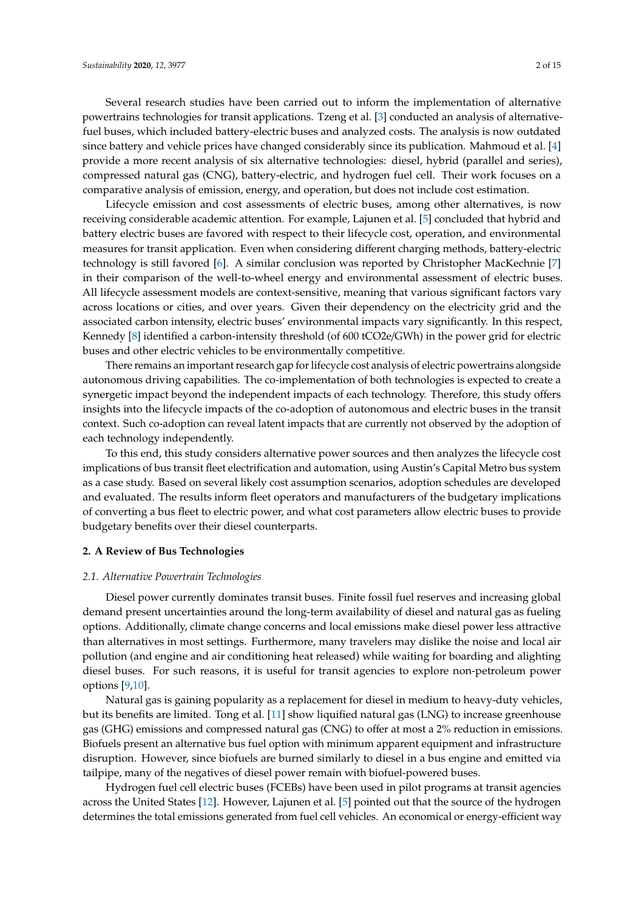Several research studies have been carried out to inform the implementation of alternative powertrains technologies for transit applications. Tzeng et al. [\[3\]](#page-12-2) conducted an analysis of alternativefuel buses, which included battery-electric buses and analyzed costs. The analysis is now outdated since battery and vehicle prices have changed considerably since its publication. Mahmoud et al. [\[4\]](#page-12-3) provide a more recent analysis of six alternative technologies: diesel, hybrid (parallel and series), compressed natural gas (CNG), battery-electric, and hydrogen fuel cell. Their work focuses on a comparative analysis of emission, energy, and operation, but does not include cost estimation.

Lifecycle emission and cost assessments of electric buses, among other alternatives, is now receiving considerable academic attention. For example, Lajunen et al. [\[5\]](#page-12-4) concluded that hybrid and battery electric buses are favored with respect to their lifecycle cost, operation, and environmental measures for transit application. Even when considering different charging methods, battery-electric technology is still favored [\[6\]](#page-12-5). A similar conclusion was reported by Christopher MacKechnie [\[7\]](#page-12-6) in their comparison of the well-to-wheel energy and environmental assessment of electric buses. All lifecycle assessment models are context-sensitive, meaning that various significant factors vary across locations or cities, and over years. Given their dependency on the electricity grid and the associated carbon intensity, electric buses' environmental impacts vary significantly. In this respect, Kennedy [\[8\]](#page-12-7) identified a carbon-intensity threshold (of 600 tCO2e/GWh) in the power grid for electric buses and other electric vehicles to be environmentally competitive.

There remains an important research gap for lifecycle cost analysis of electric powertrains alongside autonomous driving capabilities. The co-implementation of both technologies is expected to create a synergetic impact beyond the independent impacts of each technology. Therefore, this study offers insights into the lifecycle impacts of the co-adoption of autonomous and electric buses in the transit context. Such co-adoption can reveal latent impacts that are currently not observed by the adoption of each technology independently.

To this end, this study considers alternative power sources and then analyzes the lifecycle cost implications of bus transit fleet electrification and automation, using Austin's Capital Metro bus system as a case study. Based on several likely cost assumption scenarios, adoption schedules are developed and evaluated. The results inform fleet operators and manufacturers of the budgetary implications of converting a bus fleet to electric power, and what cost parameters allow electric buses to provide budgetary benefits over their diesel counterparts.

#### **2. A Review of Bus Technologies**

#### *2.1. Alternative Powertrain Technologies*

Diesel power currently dominates transit buses. Finite fossil fuel reserves and increasing global demand present uncertainties around the long-term availability of diesel and natural gas as fueling options. Additionally, climate change concerns and local emissions make diesel power less attractive than alternatives in most settings. Furthermore, many travelers may dislike the noise and local air pollution (and engine and air conditioning heat released) while waiting for boarding and alighting diesel buses. For such reasons, it is useful for transit agencies to explore non-petroleum power options [\[9](#page-12-8)[,10\]](#page-12-9).

Natural gas is gaining popularity as a replacement for diesel in medium to heavy-duty vehicles, but its benefits are limited. Tong et al. [\[11\]](#page-12-10) show liquified natural gas (LNG) to increase greenhouse gas (GHG) emissions and compressed natural gas (CNG) to offer at most a 2% reduction in emissions. Biofuels present an alternative bus fuel option with minimum apparent equipment and infrastructure disruption. However, since biofuels are burned similarly to diesel in a bus engine and emitted via tailpipe, many of the negatives of diesel power remain with biofuel-powered buses.

Hydrogen fuel cell electric buses (FCEBs) have been used in pilot programs at transit agencies across the United States [\[12\]](#page-13-0). However, Lajunen et al. [\[5\]](#page-12-4) pointed out that the source of the hydrogen determines the total emissions generated from fuel cell vehicles. An economical or energy-efficient way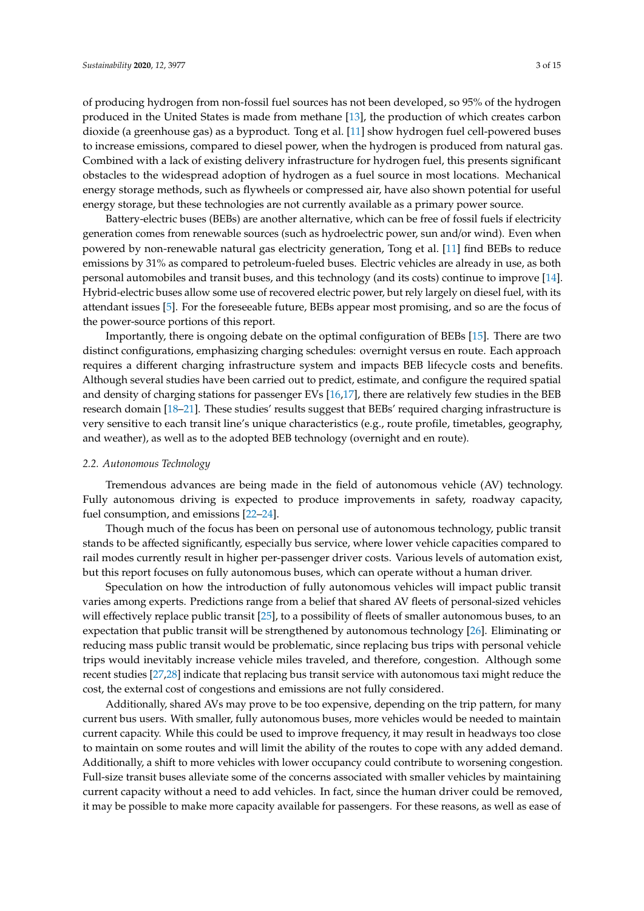of producing hydrogen from non-fossil fuel sources has not been developed, so 95% of the hydrogen produced in the United States is made from methane [\[13\]](#page-13-1), the production of which creates carbon dioxide (a greenhouse gas) as a byproduct. Tong et al. [\[11\]](#page-12-10) show hydrogen fuel cell-powered buses to increase emissions, compared to diesel power, when the hydrogen is produced from natural gas. Combined with a lack of existing delivery infrastructure for hydrogen fuel, this presents significant obstacles to the widespread adoption of hydrogen as a fuel source in most locations. Mechanical energy storage methods, such as flywheels or compressed air, have also shown potential for useful energy storage, but these technologies are not currently available as a primary power source.

Battery-electric buses (BEBs) are another alternative, which can be free of fossil fuels if electricity generation comes from renewable sources (such as hydroelectric power, sun and/or wind). Even when powered by non-renewable natural gas electricity generation, Tong et al. [\[11\]](#page-12-10) find BEBs to reduce emissions by 31% as compared to petroleum-fueled buses. Electric vehicles are already in use, as both personal automobiles and transit buses, and this technology (and its costs) continue to improve [\[14\]](#page-13-2). Hybrid-electric buses allow some use of recovered electric power, but rely largely on diesel fuel, with its attendant issues [\[5\]](#page-12-4). For the foreseeable future, BEBs appear most promising, and so are the focus of the power-source portions of this report.

Importantly, there is ongoing debate on the optimal configuration of BEBs [\[15\]](#page-13-3). There are two distinct configurations, emphasizing charging schedules: overnight versus en route. Each approach requires a different charging infrastructure system and impacts BEB lifecycle costs and benefits. Although several studies have been carried out to predict, estimate, and configure the required spatial and density of charging stations for passenger EVs [\[16](#page-13-4)[,17\]](#page-13-5), there are relatively few studies in the BEB research domain [\[18–](#page-13-6)[21\]](#page-13-7). These studies' results suggest that BEBs' required charging infrastructure is very sensitive to each transit line's unique characteristics (e.g., route profile, timetables, geography, and weather), as well as to the adopted BEB technology (overnight and en route).

#### *2.2. Autonomous Technology*

Tremendous advances are being made in the field of autonomous vehicle (AV) technology. Fully autonomous driving is expected to produce improvements in safety, roadway capacity, fuel consumption, and emissions [\[22](#page-13-8)[–24\]](#page-13-9).

Though much of the focus has been on personal use of autonomous technology, public transit stands to be affected significantly, especially bus service, where lower vehicle capacities compared to rail modes currently result in higher per-passenger driver costs. Various levels of automation exist, but this report focuses on fully autonomous buses, which can operate without a human driver.

Speculation on how the introduction of fully autonomous vehicles will impact public transit varies among experts. Predictions range from a belief that shared AV fleets of personal-sized vehicles will effectively replace public transit [\[25\]](#page-13-10), to a possibility of fleets of smaller autonomous buses, to an expectation that public transit will be strengthened by autonomous technology [\[26\]](#page-13-11). Eliminating or reducing mass public transit would be problematic, since replacing bus trips with personal vehicle trips would inevitably increase vehicle miles traveled, and therefore, congestion. Although some recent studies [\[27,](#page-13-12)[28\]](#page-13-13) indicate that replacing bus transit service with autonomous taxi might reduce the cost, the external cost of congestions and emissions are not fully considered.

Additionally, shared AVs may prove to be too expensive, depending on the trip pattern, for many current bus users. With smaller, fully autonomous buses, more vehicles would be needed to maintain current capacity. While this could be used to improve frequency, it may result in headways too close to maintain on some routes and will limit the ability of the routes to cope with any added demand. Additionally, a shift to more vehicles with lower occupancy could contribute to worsening congestion. Full-size transit buses alleviate some of the concerns associated with smaller vehicles by maintaining current capacity without a need to add vehicles. In fact, since the human driver could be removed, it may be possible to make more capacity available for passengers. For these reasons, as well as ease of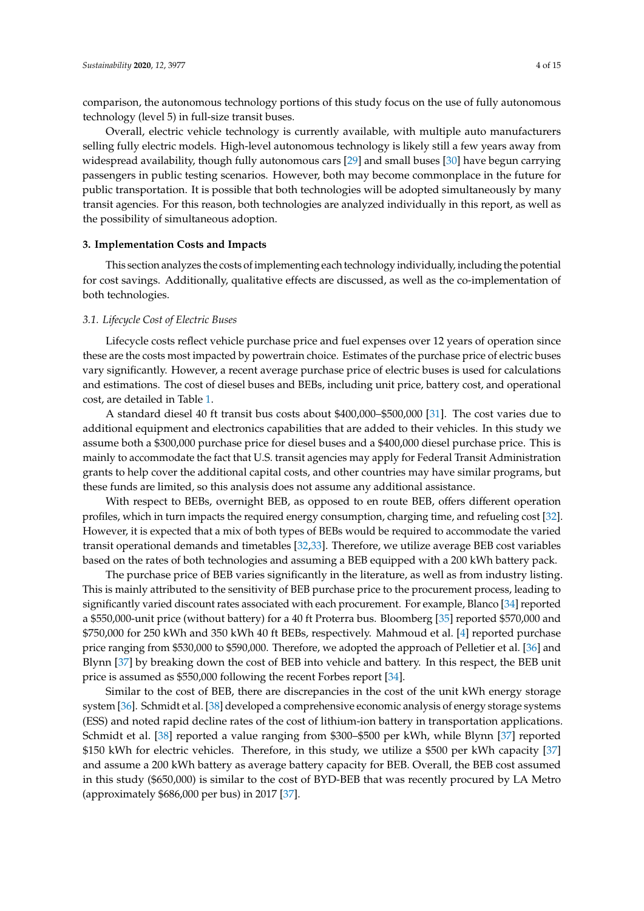comparison, the autonomous technology portions of this study focus on the use of fully autonomous technology (level 5) in full-size transit buses.

Overall, electric vehicle technology is currently available, with multiple auto manufacturers selling fully electric models. High-level autonomous technology is likely still a few years away from widespread availability, though fully autonomous cars [\[29\]](#page-13-14) and small buses [\[30\]](#page-13-15) have begun carrying passengers in public testing scenarios. However, both may become commonplace in the future for public transportation. It is possible that both technologies will be adopted simultaneously by many transit agencies. For this reason, both technologies are analyzed individually in this report, as well as the possibility of simultaneous adoption.

#### **3. Implementation Costs and Impacts**

This section analyzes the costs of implementing each technology individually, including the potential for cost savings. Additionally, qualitative effects are discussed, as well as the co-implementation of both technologies.

#### *3.1. Lifecycle Cost of Electric Buses*

Lifecycle costs reflect vehicle purchase price and fuel expenses over 12 years of operation since these are the costs most impacted by powertrain choice. Estimates of the purchase price of electric buses vary significantly. However, a recent average purchase price of electric buses is used for calculations and estimations. The cost of diesel buses and BEBs, including unit price, battery cost, and operational cost, are detailed in Table [1.](#page-4-0)

A standard diesel 40 ft transit bus costs about \$400,000–\$500,000 [\[31\]](#page-13-16). The cost varies due to additional equipment and electronics capabilities that are added to their vehicles. In this study we assume both a \$300,000 purchase price for diesel buses and a \$400,000 diesel purchase price. This is mainly to accommodate the fact that U.S. transit agencies may apply for Federal Transit Administration grants to help cover the additional capital costs, and other countries may have similar programs, but these funds are limited, so this analysis does not assume any additional assistance.

With respect to BEBs, overnight BEB, as opposed to en route BEB, offers different operation profiles, which in turn impacts the required energy consumption, charging time, and refueling cost [\[32\]](#page-13-17). However, it is expected that a mix of both types of BEBs would be required to accommodate the varied transit operational demands and timetables [\[32,](#page-13-17)[33\]](#page-13-18). Therefore, we utilize average BEB cost variables based on the rates of both technologies and assuming a BEB equipped with a 200 kWh battery pack.

The purchase price of BEB varies significantly in the literature, as well as from industry listing. This is mainly attributed to the sensitivity of BEB purchase price to the procurement process, leading to significantly varied discount rates associated with each procurement. For example, Blanco [\[34\]](#page-13-19) reported a \$550,000-unit price (without battery) for a 40 ft Proterra bus. Bloomberg [\[35\]](#page-13-20) reported \$570,000 and \$750,000 for 250 kWh and 350 kWh 40 ft BEBs, respectively. Mahmoud et al. [\[4\]](#page-12-3) reported purchase price ranging from \$530,000 to \$590,000. Therefore, we adopted the approach of Pelletier et al. [\[36\]](#page-14-0) and Blynn [\[37\]](#page-14-1) by breaking down the cost of BEB into vehicle and battery. In this respect, the BEB unit price is assumed as \$550,000 following the recent Forbes report [\[34\]](#page-13-19).

Similar to the cost of BEB, there are discrepancies in the cost of the unit kWh energy storage system [\[36\]](#page-14-0). Schmidt et al. [\[38\]](#page-14-2) developed a comprehensive economic analysis of energy storage systems (ESS) and noted rapid decline rates of the cost of lithium-ion battery in transportation applications. Schmidt et al. [\[38\]](#page-14-2) reported a value ranging from \$300–\$500 per kWh, while Blynn [\[37\]](#page-14-1) reported \$150 kWh for electric vehicles. Therefore, in this study, we utilize a \$500 per kWh capacity [\[37\]](#page-14-1) and assume a 200 kWh battery as average battery capacity for BEB. Overall, the BEB cost assumed in this study (\$650,000) is similar to the cost of BYD-BEB that was recently procured by LA Metro (approximately \$686,000 per bus) in 2017 [\[37\]](#page-14-1).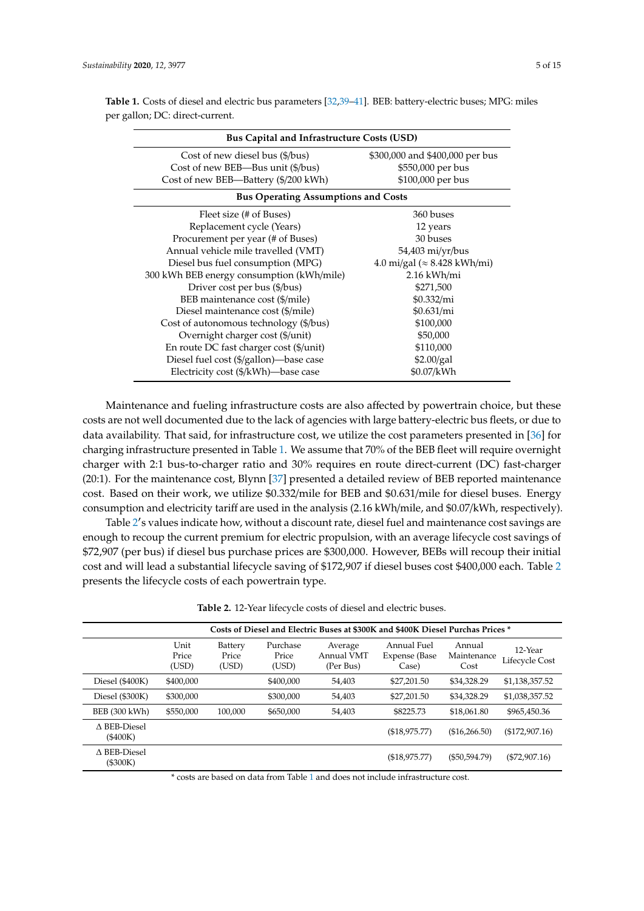| <b>Bus Capital and Infrastructure Costs (USD)</b> |                                      |  |  |  |  |  |  |
|---------------------------------------------------|--------------------------------------|--|--|--|--|--|--|
| Cost of new diesel bus (\$/bus)                   | \$300,000 and \$400,000 per bus      |  |  |  |  |  |  |
| Cost of new BEB—Bus unit (\$/bus)                 | \$550,000 per bus                    |  |  |  |  |  |  |
| Cost of new BEB—Battery (\$/200 kWh)              | \$100,000 per bus                    |  |  |  |  |  |  |
| <b>Bus Operating Assumptions and Costs</b>        |                                      |  |  |  |  |  |  |
| Fleet size (# of Buses)                           | 360 buses                            |  |  |  |  |  |  |
| Replacement cycle (Years)                         | 12 years                             |  |  |  |  |  |  |
| Procurement per year (# of Buses)                 | 30 buses                             |  |  |  |  |  |  |
| Annual vehicle mile travelled (VMT)               | 54,403 mi/yr/bus                     |  |  |  |  |  |  |
| Diesel bus fuel consumption (MPG)                 | 4.0 mi/gal ( $\approx$ 8.428 kWh/mi) |  |  |  |  |  |  |
| 300 kWh BEB energy consumption (kWh/mile)         | 2.16 kWh/mi                          |  |  |  |  |  |  |
| Driver cost per bus (\$/bus)                      | \$271,500                            |  |  |  |  |  |  |
| BEB maintenance cost (\$/mile)                    | $$0.332$ /mi                         |  |  |  |  |  |  |
| Diesel maintenance cost (\$/mile)                 | \$0.631/mi                           |  |  |  |  |  |  |
| Cost of autonomous technology (\$/bus)            | \$100,000                            |  |  |  |  |  |  |
| Overnight charger cost (\$/unit)                  | \$50,000                             |  |  |  |  |  |  |
| En route DC fast charger cost (\$/unit)           | \$110,000                            |  |  |  |  |  |  |
| Diesel fuel cost (\$/gallon)-base case            | \$2.00/gal                           |  |  |  |  |  |  |
| Electricity cost (\$/kWh)-base case               | \$0.07/kWh                           |  |  |  |  |  |  |

<span id="page-4-0"></span>**Table 1.** Costs of diesel and electric bus parameters [\[32,](#page-13-17)[39](#page-14-3)[–41\]](#page-14-4). BEB: battery-electric buses; MPG: miles per gallon; DC: direct-current.

Maintenance and fueling infrastructure costs are also affected by powertrain choice, but these costs are not well documented due to the lack of agencies with large battery-electric bus fleets, or due to data availability. That said, for infrastructure cost, we utilize the cost parameters presented in [\[36\]](#page-14-0) for charging infrastructure presented in Table [1.](#page-4-0) We assume that 70% of the BEB fleet will require overnight charger with 2:1 bus-to-charger ratio and 30% requires en route direct-current (DC) fast-charger (20:1). For the maintenance cost, Blynn [\[37\]](#page-14-1) presented a detailed review of BEB reported maintenance cost. Based on their work, we utilize \$0.332/mile for BEB and \$0.631/mile for diesel buses. Energy consumption and electricity tariff are used in the analysis (2.16 kWh/mile, and \$0.07/kWh, respectively).

Table [2](#page-4-1)'s values indicate how, without a discount rate, diesel fuel and maintenance cost savings are enough to recoup the current premium for electric propulsion, with an average lifecycle cost savings of \$72,907 (per bus) if diesel bus purchase prices are \$300,000. However, BEBs will recoup their initial cost and will lead a substantial lifecycle saving of \$172,907 if diesel buses cost \$400,000 each. Table [2](#page-4-1) presents the lifecycle costs of each powertrain type.

**Table 2.** 12-Year lifecycle costs of diesel and electric buses.

<span id="page-4-1"></span>

| Costs of Diesel and Electric Buses at \$300K and \$400K Diesel Purchas Prices * |                        |                           |                            |                                    |                                        |                               |                           |
|---------------------------------------------------------------------------------|------------------------|---------------------------|----------------------------|------------------------------------|----------------------------------------|-------------------------------|---------------------------|
|                                                                                 | Unit<br>Price<br>(USD) | Battery<br>Price<br>(USD) | Purchase<br>Price<br>(USD) | Average<br>Annual VMT<br>(Per Bus) | Annual Fuel<br>Expense (Base)<br>Case) | Annual<br>Maintenance<br>Cost | 12-Year<br>Lifecycle Cost |
| Diesel $(\$400K)$                                                               | \$400,000              |                           | \$400,000                  | 54,403                             | \$27,201.50                            | \$34,328.29                   | \$1,138,357.52            |
| Diesel $(\$300K)$                                                               | \$300,000              |                           | \$300,000                  | 54.403                             | \$27,201.50                            | \$34,328.29                   | \$1,038,357.52            |
| BEB (300 kWh)                                                                   | \$550,000              | 100.000                   | \$650,000                  | 54,403                             | \$8225.73                              | \$18,061.80                   | \$965.450.36              |
| $\Lambda$ BEB-Diesel<br>(\$400K)                                                |                        |                           |                            |                                    | (\$18,975.77)                          | (\$16,266.50)                 | (\$172,907.16)            |
| $\triangle$ BEB-Diesel<br>(\$300K)                                              |                        |                           |                            |                                    | (\$18,975.77)                          | $(\$50,594.79)$               | $(\$72,907.16)$           |

\* costs are based on data from Table [1](#page-4-0) and does not include infrastructure cost.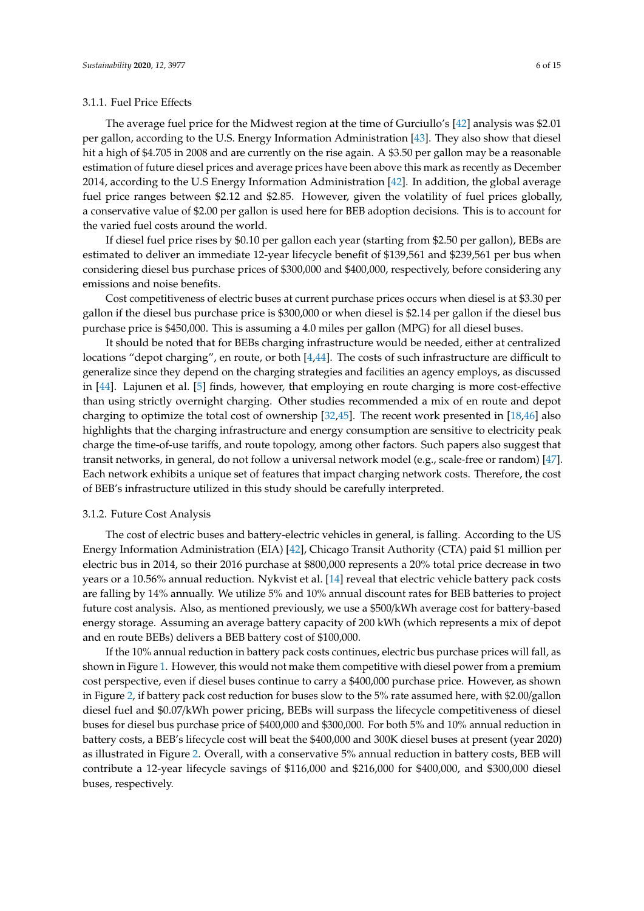#### 3.1.1. Fuel Price Effects

The average fuel price for the Midwest region at the time of Gurciullo's [\[42\]](#page-14-5) analysis was \$2.01 per gallon, according to the U.S. Energy Information Administration [\[43\]](#page-14-6). They also show that diesel hit a high of \$4.705 in 2008 and are currently on the rise again. A \$3.50 per gallon may be a reasonable estimation of future diesel prices and average prices have been above this mark as recently as December 2014, according to the U.S Energy Information Administration [\[42\]](#page-14-5). In addition, the global average fuel price ranges between \$2.12 and \$2.85. However, given the volatility of fuel prices globally, a conservative value of \$2.00 per gallon is used here for BEB adoption decisions. This is to account for the varied fuel costs around the world.

If diesel fuel price rises by \$0.10 per gallon each year (starting from \$2.50 per gallon), BEBs are estimated to deliver an immediate 12-year lifecycle benefit of \$139,561 and \$239,561 per bus when considering diesel bus purchase prices of \$300,000 and \$400,000, respectively, before considering any emissions and noise benefits.

Cost competitiveness of electric buses at current purchase prices occurs when diesel is at \$3.30 per gallon if the diesel bus purchase price is \$300,000 or when diesel is \$2.14 per gallon if the diesel bus purchase price is \$450,000. This is assuming a 4.0 miles per gallon (MPG) for all diesel buses.

It should be noted that for BEBs charging infrastructure would be needed, either at centralized locations "depot charging", en route, or both [\[4,](#page-12-3)[44\]](#page-14-7). The costs of such infrastructure are difficult to generalize since they depend on the charging strategies and facilities an agency employs, as discussed in [\[44\]](#page-14-7). Lajunen et al. [\[5\]](#page-12-4) finds, however, that employing en route charging is more cost-effective than using strictly overnight charging. Other studies recommended a mix of en route and depot charging to optimize the total cost of ownership [\[32,](#page-13-17)[45\]](#page-14-8). The recent work presented in [\[18,](#page-13-6)[46\]](#page-14-9) also highlights that the charging infrastructure and energy consumption are sensitive to electricity peak charge the time-of-use tariffs, and route topology, among other factors. Such papers also suggest that transit networks, in general, do not follow a universal network model (e.g., scale-free or random) [\[47\]](#page-14-10). Each network exhibits a unique set of features that impact charging network costs. Therefore, the cost of BEB's infrastructure utilized in this study should be carefully interpreted.

## 3.1.2. Future Cost Analysis

The cost of electric buses and battery-electric vehicles in general, is falling. According to the US Energy Information Administration (EIA) [\[42\]](#page-14-5), Chicago Transit Authority (CTA) paid \$1 million per electric bus in 2014, so their 2016 purchase at \$800,000 represents a 20% total price decrease in two years or a 10.56% annual reduction. Nykvist et al. [\[14\]](#page-13-2) reveal that electric vehicle battery pack costs are falling by 14% annually. We utilize 5% and 10% annual discount rates for BEB batteries to project future cost analysis. Also, as mentioned previously, we use a \$500/kWh average cost for battery-based energy storage. Assuming an average battery capacity of 200 kWh (which represents a mix of depot and en route BEBs) delivers a BEB battery cost of \$100,000.

If the 10% annual reduction in battery pack costs continues, electric bus purchase prices will fall, as shown in Figure [1.](#page-6-0) However, this would not make them competitive with diesel power from a premium cost perspective, even if diesel buses continue to carry a \$400,000 purchase price. However, as shown in Figure [2,](#page-6-1) if battery pack cost reduction for buses slow to the 5% rate assumed here, with \$2.00/gallon diesel fuel and \$0.07/kWh power pricing, BEBs will surpass the lifecycle competitiveness of diesel buses for diesel bus purchase price of \$400,000 and \$300,000. For both 5% and 10% annual reduction in battery costs, a BEB's lifecycle cost will beat the \$400,000 and 300K diesel buses at present (year 2020) as illustrated in Figure [2.](#page-6-1) Overall, with a conservative 5% annual reduction in battery costs, BEB will contribute a 12-year lifecycle savings of \$116,000 and \$216,000 for \$400,000, and \$300,000 diesel buses, respectively.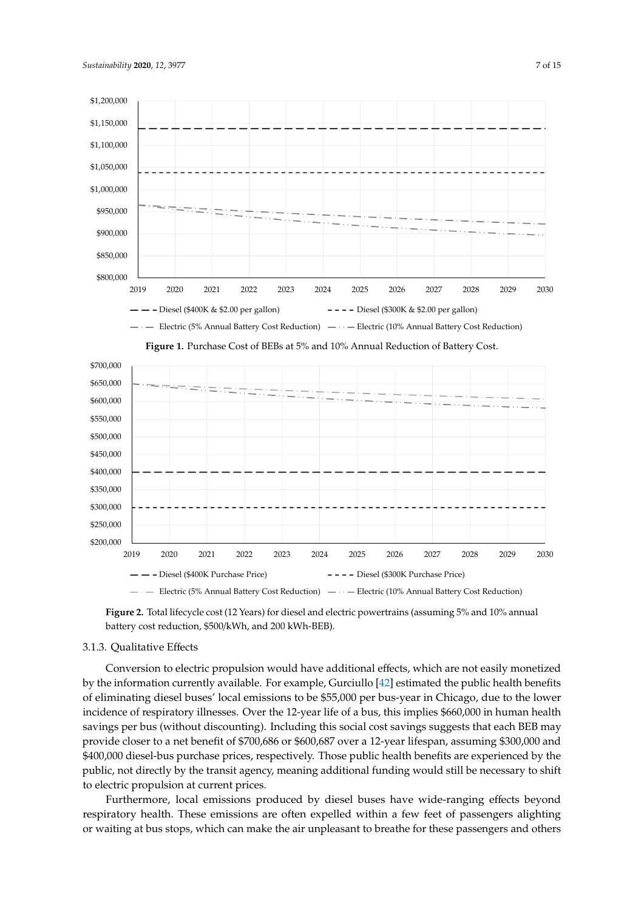<span id="page-6-0"></span>

**Figure 1.** Purchase Cost of BEBs at 5% and 10% Annual Reduction of Battery Cost.

<span id="page-6-1"></span>

Figure 2. Total lifecycle cost (12 Years) for diesel and electric powertrains (assuming 5% and 10% annual **Figure 2. <sup>1</sup>Total lifection**  $\mathbf{F}^{\text{LO}}$  (13 Years) for diesel and electric powertrains (assuming 5% and 10% and 10% and 10% and 10% and 10% and 10% and 10% and 10% and 10% and 10% and 10% and 10% and 10% and 10% and battery cost reduction, \$500/kWh, and 200 kWh-BEB).

# 3.1.3. Qualitative Effects

by the information currently available. For example, Gurciullo [\[42\]](#page-14-5) estimated the public health benefits of eliminating diesel buses' local emissions to be \$55,000 per bus-year in Chicago, due to the lower incidence of respiratory illnesses. Over the 12-year life of a bus, this implies \$660,000 in human health savings per bus (without discounting). Including this social cost savings suggests that each BEB may per bus incomes the 12-year of the 12-year of a business of a business of a business per business. In the cost<br>Discreption of a business per business that in this including the 12-year lifespan, assuming \$300,000 in the 1 .<br>\$400,000 discol-bus purchase prices, respectively. Those public health banefits are experienced by  $B_{\rm E}$  multig not directly by the transit agency meaning additional funding would still be necessary to  $\frac{3}{2}$ 00,000 and  $\frac{400}{2}$  diesel-bus purchase prices, respectively. The placeting area purchase public health benefits are purchased by  $\frac{1}{2}$ 3.1.3. Qualitative Effects BEB may provide closer to a net benefit of \$700,686 or \$600,687 over a 12-year lifespan, assuming provide closer to a net benefit of \$700,686 or \$600,687 over a 12-year lifespan, assuming \$300,000 and \$400,000 diesel-bus purchase prices, respectively. Those public health benefits are experienced by the public, not directly by the transit agency, meaning additional funding would still be necessary to shift to electric propulsion at current prices. Conversion to electric propulsion would have additional effects, which are not easily monetized

Furthermore, local emissions produced by diesel buses have wide-ranging effects beyond respiratory health. These emissions are often expelled within a few feet of passengers alighting respiratory health. or waiting at bus stops, which can make the air unpleasant to breathe for these passengers and others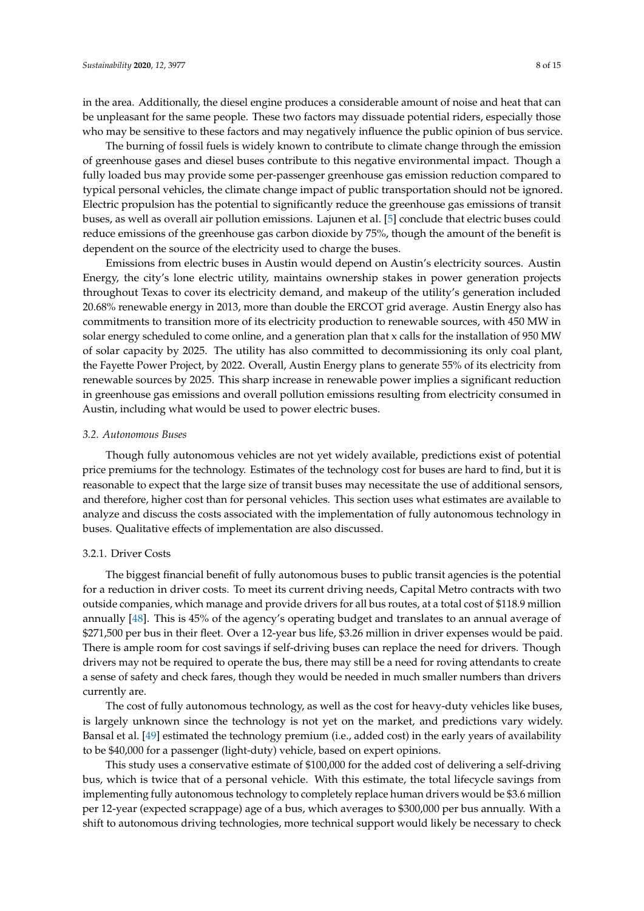in the area. Additionally, the diesel engine produces a considerable amount of noise and heat that can be unpleasant for the same people. These two factors may dissuade potential riders, especially those who may be sensitive to these factors and may negatively influence the public opinion of bus service.

The burning of fossil fuels is widely known to contribute to climate change through the emission of greenhouse gases and diesel buses contribute to this negative environmental impact. Though a fully loaded bus may provide some per-passenger greenhouse gas emission reduction compared to typical personal vehicles, the climate change impact of public transportation should not be ignored. Electric propulsion has the potential to significantly reduce the greenhouse gas emissions of transit buses, as well as overall air pollution emissions. Lajunen et al. [\[5\]](#page-12-4) conclude that electric buses could reduce emissions of the greenhouse gas carbon dioxide by 75%, though the amount of the benefit is dependent on the source of the electricity used to charge the buses.

Emissions from electric buses in Austin would depend on Austin's electricity sources. Austin Energy, the city's lone electric utility, maintains ownership stakes in power generation projects throughout Texas to cover its electricity demand, and makeup of the utility's generation included 20.68% renewable energy in 2013, more than double the ERCOT grid average. Austin Energy also has commitments to transition more of its electricity production to renewable sources, with 450 MW in solar energy scheduled to come online, and a generation plan that x calls for the installation of 950 MW of solar capacity by 2025. The utility has also committed to decommissioning its only coal plant, the Fayette Power Project, by 2022. Overall, Austin Energy plans to generate 55% of its electricity from renewable sources by 2025. This sharp increase in renewable power implies a significant reduction in greenhouse gas emissions and overall pollution emissions resulting from electricity consumed in Austin, including what would be used to power electric buses.

#### *3.2. Autonomous Buses*

Though fully autonomous vehicles are not yet widely available, predictions exist of potential price premiums for the technology. Estimates of the technology cost for buses are hard to find, but it is reasonable to expect that the large size of transit buses may necessitate the use of additional sensors, and therefore, higher cost than for personal vehicles. This section uses what estimates are available to analyze and discuss the costs associated with the implementation of fully autonomous technology in buses. Qualitative effects of implementation are also discussed.

#### 3.2.1. Driver Costs

The biggest financial benefit of fully autonomous buses to public transit agencies is the potential for a reduction in driver costs. To meet its current driving needs, Capital Metro contracts with two outside companies, which manage and provide drivers for all bus routes, at a total cost of \$118.9 million annually [\[48\]](#page-14-11). This is 45% of the agency's operating budget and translates to an annual average of \$271,500 per bus in their fleet. Over a 12-year bus life, \$3.26 million in driver expenses would be paid. There is ample room for cost savings if self-driving buses can replace the need for drivers. Though drivers may not be required to operate the bus, there may still be a need for roving attendants to create a sense of safety and check fares, though they would be needed in much smaller numbers than drivers currently are.

The cost of fully autonomous technology, as well as the cost for heavy-duty vehicles like buses, is largely unknown since the technology is not yet on the market, and predictions vary widely. Bansal et al. [\[49\]](#page-14-12) estimated the technology premium (i.e., added cost) in the early years of availability to be \$40,000 for a passenger (light-duty) vehicle, based on expert opinions.

This study uses a conservative estimate of \$100,000 for the added cost of delivering a self-driving bus, which is twice that of a personal vehicle. With this estimate, the total lifecycle savings from implementing fully autonomous technology to completely replace human drivers would be \$3.6 million per 12-year (expected scrappage) age of a bus, which averages to \$300,000 per bus annually. With a shift to autonomous driving technologies, more technical support would likely be necessary to check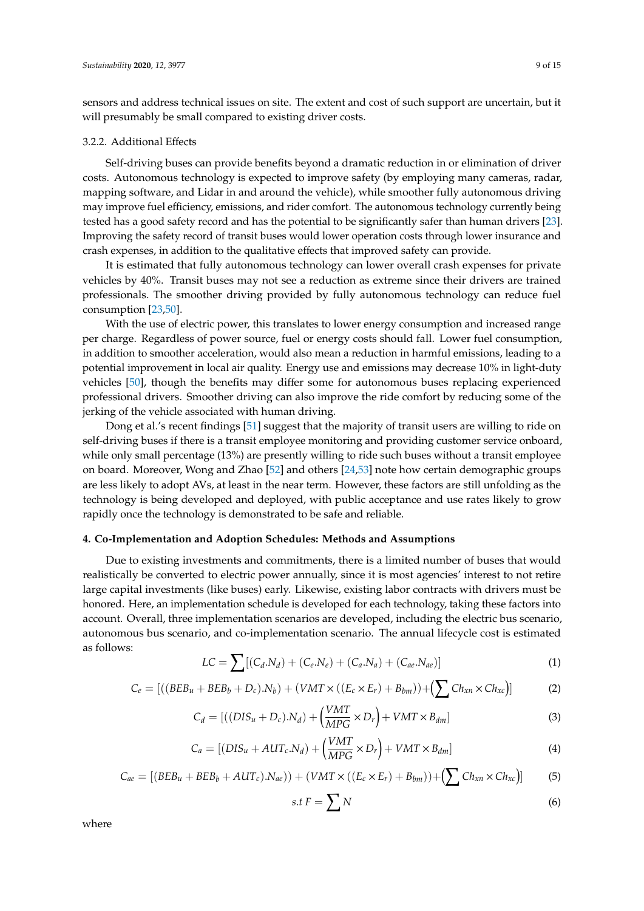sensors and address technical issues on site. The extent and cost of such support are uncertain, but it will presumably be small compared to existing driver costs.

#### 3.2.2. Additional Effects

Self-driving buses can provide benefits beyond a dramatic reduction in or elimination of driver costs. Autonomous technology is expected to improve safety (by employing many cameras, radar, mapping software, and Lidar in and around the vehicle), while smoother fully autonomous driving may improve fuel efficiency, emissions, and rider comfort. The autonomous technology currently being tested has a good safety record and has the potential to be significantly safer than human drivers [\[23\]](#page-13-21). Improving the safety record of transit buses would lower operation costs through lower insurance and crash expenses, in addition to the qualitative effects that improved safety can provide.

It is estimated that fully autonomous technology can lower overall crash expenses for private vehicles by 40%. Transit buses may not see a reduction as extreme since their drivers are trained professionals. The smoother driving provided by fully autonomous technology can reduce fuel consumption [\[23](#page-13-21)[,50\]](#page-14-13).

With the use of electric power, this translates to lower energy consumption and increased range per charge. Regardless of power source, fuel or energy costs should fall. Lower fuel consumption, in addition to smoother acceleration, would also mean a reduction in harmful emissions, leading to a potential improvement in local air quality. Energy use and emissions may decrease 10% in light-duty vehicles [\[50\]](#page-14-13), though the benefits may differ some for autonomous buses replacing experienced professional drivers. Smoother driving can also improve the ride comfort by reducing some of the jerking of the vehicle associated with human driving.

Dong et al.'s recent findings [\[51\]](#page-14-14) suggest that the majority of transit users are willing to ride on self-driving buses if there is a transit employee monitoring and providing customer service onboard, while only small percentage (13%) are presently willing to ride such buses without a transit employee on board. Moreover, Wong and Zhao [\[52\]](#page-14-15) and others [\[24,](#page-13-9)[53\]](#page-14-16) note how certain demographic groups are less likely to adopt AVs, at least in the near term. However, these factors are still unfolding as the technology is being developed and deployed, with public acceptance and use rates likely to grow rapidly once the technology is demonstrated to be safe and reliable.

#### **4. Co-Implementation and Adoption Schedules: Methods and Assumptions**

Due to existing investments and commitments, there is a limited number of buses that would realistically be converted to electric power annually, since it is most agencies' interest to not retire large capital investments (like buses) early. Likewise, existing labor contracts with drivers must be honored. Here, an implementation schedule is developed for each technology, taking these factors into account. Overall, three implementation scenarios are developed, including the electric bus scenario, autonomous bus scenario, and co-implementation scenario. The annual lifecycle cost is estimated as follows:

$$
LC = \sum [(C_d.N_d) + (C_e.N_e) + (C_a.N_a) + (C_{ae}.N_{ae})]
$$
\n(1)

$$
C_e = [((BEB_u + BEB_b + D_c).N_b) + (VMT \times ((E_c \times E_r) + B_{bm})) + (\sum Ch_{xn} \times Ch_{xc})]
$$
(2)

$$
C_d = [((DIS_u + D_c).N_d) + (\frac{VMT}{MPG} \times D_r) + VMT \times B_{dm}]
$$
\n(3)

$$
C_a = [(DIS_u + AUT_c.N_d) + (\frac{VMT}{MPG} \times D_r) + VMT \times B_{dm}]
$$
\n(4)

$$
C_{ae} = [(BEB_u + BEB_b + AUT_c).N_{ae}) + (VMT \times ((E_c \times E_r) + B_{bm})) + (\sum Ch_{xn} \times Ch_{xc})]
$$
(5)

$$
s.t F = \sum N \tag{6}
$$

where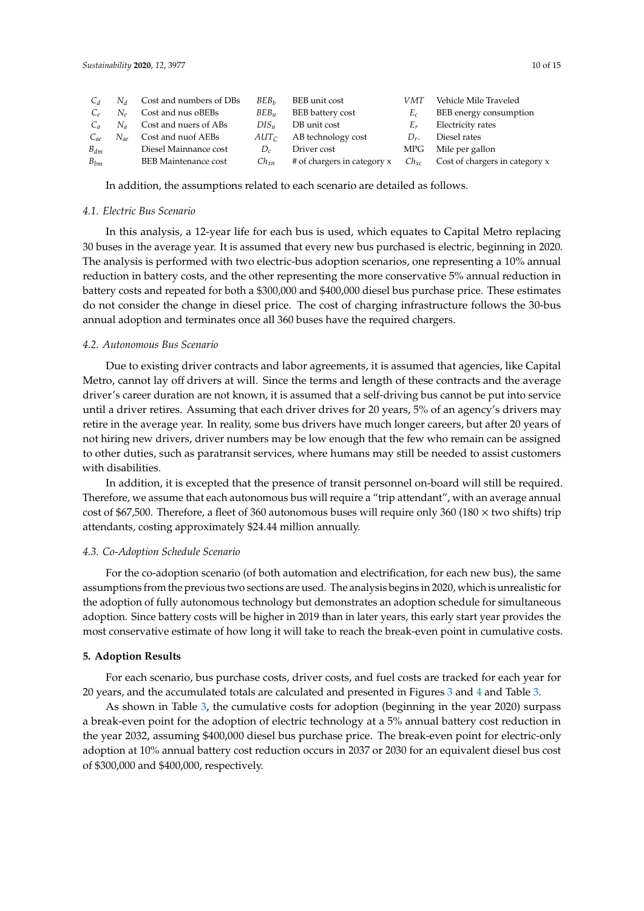| $C_d$    | $N_A$    | Cost and numbers of DBs     | BEB <sub>h</sub> | BEB unit cost                          | VMT       | Vehicle Mile Traveled          |
|----------|----------|-----------------------------|------------------|----------------------------------------|-----------|--------------------------------|
|          | $N_e$    | Cost and nus oBEBs          | $BEB_u$          | BEB battery cost                       | $E_c$     | BEB energy consumption         |
| $C_a$    | $N_a$    | Cost and nuers of ABs       | $DIS_u$          | DB unit cost                           | Er        | Electricity rates              |
| $C_{ae}$ | $N_{ae}$ | Cost and nuof AEBs          |                  | $AUT_{\mathcal{C}}$ AB technology cost | $D_r$ .   | Diesel rates                   |
| $B_{dm}$ |          | Diesel Mainnance cost       | $D_c$            | Driver cost                            | MPG       | Mile per gallon                |
| $B_{bm}$ |          | <b>BEB</b> Maintenance cost | $Ch_{xn}$        | # of chargers in category x            | $Ch_{xc}$ | Cost of chargers in category x |

In addition, the assumptions related to each scenario are detailed as follows.

#### *4.1. Electric Bus Scenario*

In this analysis, a 12-year life for each bus is used, which equates to Capital Metro replacing 30 buses in the average year. It is assumed that every new bus purchased is electric, beginning in 2020. The analysis is performed with two electric-bus adoption scenarios, one representing a 10% annual reduction in battery costs, and the other representing the more conservative 5% annual reduction in battery costs and repeated for both a \$300,000 and \$400,000 diesel bus purchase price. These estimates do not consider the change in diesel price. The cost of charging infrastructure follows the 30-bus annual adoption and terminates once all 360 buses have the required chargers.

#### *4.2. Autonomous Bus Scenario*

Due to existing driver contracts and labor agreements, it is assumed that agencies, like Capital Metro, cannot lay off drivers at will. Since the terms and length of these contracts and the average driver's career duration are not known, it is assumed that a self-driving bus cannot be put into service until a driver retires. Assuming that each driver drives for 20 years, 5% of an agency's drivers may retire in the average year. In reality, some bus drivers have much longer careers, but after 20 years of not hiring new drivers, driver numbers may be low enough that the few who remain can be assigned to other duties, such as paratransit services, where humans may still be needed to assist customers with disabilities.

In addition, it is excepted that the presence of transit personnel on-board will still be required. Therefore, we assume that each autonomous bus will require a "trip attendant", with an average annual cost of \$67,500. Therefore, a fleet of 360 autonomous buses will require only 360 (180  $\times$  two shifts) trip attendants, costing approximately \$24.44 million annually.

#### *4.3. Co-Adoption Schedule Scenario*

For the co-adoption scenario (of both automation and electrification, for each new bus), the same assumptions from the previous two sections are used. The analysis begins in 2020, which is unrealistic for the adoption of fully autonomous technology but demonstrates an adoption schedule for simultaneous adoption. Since battery costs will be higher in 2019 than in later years, this early start year provides the most conservative estimate of how long it will take to reach the break-even point in cumulative costs.

#### **5. Adoption Results**

For each scenario, bus purchase costs, driver costs, and fuel costs are tracked for each year for 20 years, and the accumulated totals are calculated and presented in Figures [3](#page-10-0) and [4](#page-10-1) and Table [3.](#page-11-0)

As shown in Table [3,](#page-11-0) the cumulative costs for adoption (beginning in the year 2020) surpass a break-even point for the adoption of electric technology at a 5% annual battery cost reduction in the year 2032, assuming \$400,000 diesel bus purchase price. The break-even point for electric-only adoption at 10% annual battery cost reduction occurs in 2037 or 2030 for an equivalent diesel bus cost of \$300,000 and \$400,000, respectively.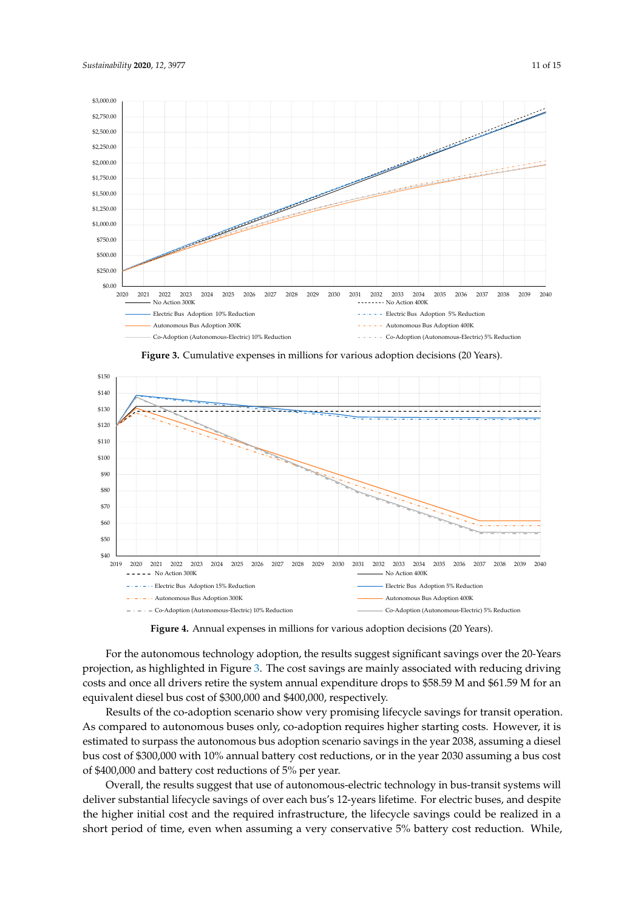<span id="page-10-0"></span>

**Figure 3.** Cumulative expenses in millions for various adoption decisions (20 Years). **Figure 3.** Cumulative expenses in millions for various adoption decisions (20 Years).

<span id="page-10-1"></span>

Figure 4. Annual expenses in millions for various adoption decisions (20 Years).

**Figure 4.** Annual expenses in millions for various adoption decisions (20 Years). projection, as highlighted in Figure [3.](#page-10-0) The cost savings are mainly associated with reducing driving costs and once all drivers retire the system annual expenditure drops to \$58.59 M and \$61.59 M for an equivalent diesel bus cost of \$300,000 and \$400,000, respectively. For the autonomous technology adoption, the results suggest significant savings over the 20-Years<br>-

Results of the co-adoption scenario show very promising lifecycle savings for transit operation. As compared to autonomous buses only, co-adoption requires higher starting costs. However, it is bus cost of \$300,000 with 10% annual battery cost reductions, or in the year 2030 assuming a bus cost of \$400,000 and battery cost reductions of 5% per year. estimated to surpass the autonomous bus adoption scenario savings in the year 2038, assuming a diesel

Overall, the results suggest that use of autonomous-electric technology in bus-transit systems will deliver substantial lifecycle savings of over each bus's 12-years lifetime. For electric buses, and despite the higher initial cost and the required infrastructure, the lifecycle savings could be realized in a short period of time, even when assuming a very conservative 5% battery cost reduction. While,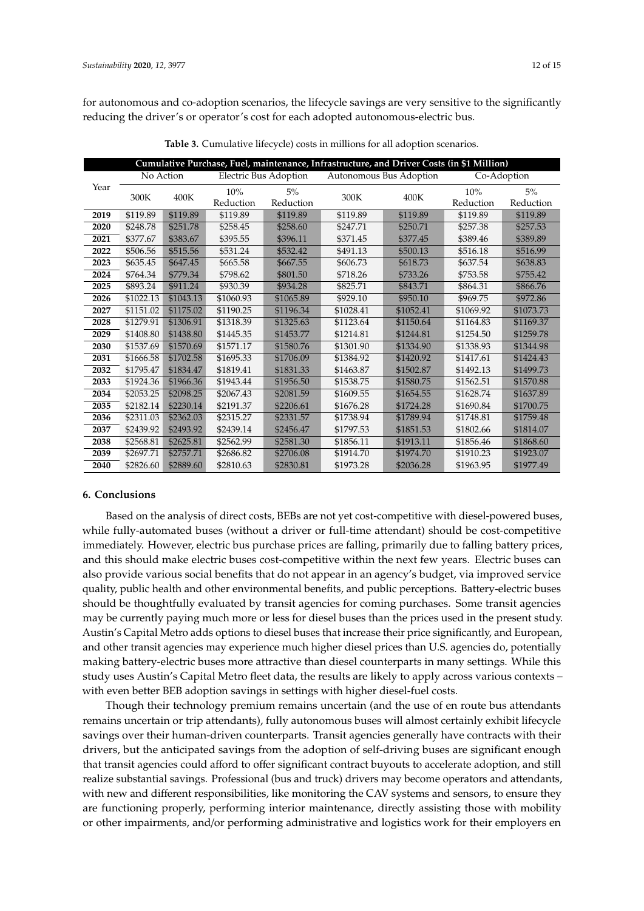for autonomous and co-adoption scenarios, the lifecycle savings are very sensitive to the significantly reducing the driver's or operator's cost for each adopted autonomous-electric bus.

<span id="page-11-0"></span>

| Cumulative Purchase, Fuel, maintenance, Infrastructure, and Driver Costs (in \$1 Million) |           |           |                       |           |                         |           |             |           |
|-------------------------------------------------------------------------------------------|-----------|-----------|-----------------------|-----------|-------------------------|-----------|-------------|-----------|
| Year                                                                                      | No Action |           | Electric Bus Adoption |           | Autonomous Bus Adoption |           | Co-Adoption |           |
|                                                                                           | 300K      | 400K      | 10%                   | 5%        | 300K                    | 400K      | 10%         | 5%        |
|                                                                                           |           |           | Reduction             | Reduction |                         |           | Reduction   | Reduction |
| 2019                                                                                      | \$119.89  | \$119.89  | \$119.89              | \$119.89  | \$119.89                | \$119.89  | \$119.89    | \$119.89  |
| 2020                                                                                      | \$248.78  | \$251.78  | \$258.45              | \$258.60  | \$247.71                | \$250.71  | \$257.38    | \$257.53  |
| 2021                                                                                      | \$377.67  | \$383.67  | \$395.55              | \$396.11  | \$371.45                | \$377.45  | \$389.46    | \$389.89  |
| 2022                                                                                      | \$506.56  | \$515.56  | \$531.24              | \$532.42  | \$491.13                | \$500.13  | \$516.18    | \$516.99  |
| 2023                                                                                      | \$635.45  | \$647.45  | \$665.58              | \$667.55  | \$606.73                | \$618.73  | \$637.54    | \$638.83  |
| 2024                                                                                      | \$764.34  | \$779.34  | \$798.62              | \$801.50  | \$718.26                | \$733.26  | \$753.58    | \$755.42  |
| 2025                                                                                      | \$893.24  | \$911.24  | \$930.39              | \$934.28  | \$825.71                | \$843.71  | \$864.31    | \$866.76  |
| 2026                                                                                      | \$1022.13 | \$1043.13 | \$1060.93             | \$1065.89 | \$929.10                | \$950.10  | \$969.75    | \$972.86  |
| 2027                                                                                      | \$1151.02 | \$1175.02 | \$1190.25             | \$1196.34 | \$1028.41               | \$1052.41 | \$1069.92   | \$1073.73 |
| 2028                                                                                      | \$1279.91 | \$1306.91 | \$1318.39             | \$1325.63 | \$1123.64               | \$1150.64 | \$1164.83   | \$1169.37 |
| 2029                                                                                      | \$1408.80 | \$1438.80 | \$1445.35             | \$1453.77 | \$1214.81               | \$1244.81 | \$1254.50   | \$1259.78 |
| 2030                                                                                      | \$1537.69 | \$1570.69 | \$1571.17             | \$1580.76 | \$1301.90               | \$1334.90 | \$1338.93   | \$1344.98 |
| 2031                                                                                      | \$1666.58 | \$1702.58 | \$1695.33             | \$1706.09 | \$1384.92               | \$1420.92 | \$1417.61   | \$1424.43 |
| 2032                                                                                      | \$1795.47 | \$1834.47 | \$1819.41             | \$1831.33 | \$1463.87               | \$1502.87 | \$1492.13   | \$1499.73 |
| 2033                                                                                      | \$1924.36 | \$1966.36 | \$1943.44             | \$1956.50 | \$1538.75               | \$1580.75 | \$1562.51   | \$1570.88 |
| 2034                                                                                      | \$2053.25 | \$2098.25 | \$2067.43             | \$2081.59 | \$1609.55               | \$1654.55 | \$1628.74   | \$1637.89 |
| 2035                                                                                      | \$2182.14 | \$2230.14 | \$2191.37             | \$2206.61 | \$1676.28               | \$1724.28 | \$1690.84   | \$1700.75 |
| 2036                                                                                      | \$2311.03 | \$2362.03 | \$2315.27             | \$2331.57 | \$1738.94               | \$1789.94 | \$1748.81   | \$1759.48 |
| 2037                                                                                      | \$2439.92 | \$2493.92 | \$2439.14             | \$2456.47 | \$1797.53               | \$1851.53 | \$1802.66   | \$1814.07 |
| 2038                                                                                      | \$2568.81 | \$2625.81 | \$2562.99             | \$2581.30 | \$1856.11               | \$1913.11 | \$1856.46   | \$1868.60 |
| 2039                                                                                      | \$2697.71 | \$2757.71 | \$2686.82             | \$2706.08 | \$1914.70               | \$1974.70 | \$1910.23   | \$1923.07 |
| 2040                                                                                      | \$2826.60 | \$2889.60 | \$2810.63             | \$2830.81 | \$1973.28               | \$2036.28 | \$1963.95   | \$1977.49 |

**Table 3.** Cumulative lifecycle) costs in millions for all adoption scenarios.

#### **6. Conclusions**

Based on the analysis of direct costs, BEBs are not yet cost-competitive with diesel-powered buses, while fully-automated buses (without a driver or full-time attendant) should be cost-competitive immediately. However, electric bus purchase prices are falling, primarily due to falling battery prices, and this should make electric buses cost-competitive within the next few years. Electric buses can also provide various social benefits that do not appear in an agency's budget, via improved service quality, public health and other environmental benefits, and public perceptions. Battery-electric buses should be thoughtfully evaluated by transit agencies for coming purchases. Some transit agencies may be currently paying much more or less for diesel buses than the prices used in the present study. Austin's Capital Metro adds options to diesel buses that increase their price significantly, and European, and other transit agencies may experience much higher diesel prices than U.S. agencies do, potentially making battery-electric buses more attractive than diesel counterparts in many settings. While this study uses Austin's Capital Metro fleet data, the results are likely to apply across various contexts – with even better BEB adoption savings in settings with higher diesel-fuel costs.

Though their technology premium remains uncertain (and the use of en route bus attendants remains uncertain or trip attendants), fully autonomous buses will almost certainly exhibit lifecycle savings over their human-driven counterparts. Transit agencies generally have contracts with their drivers, but the anticipated savings from the adoption of self-driving buses are significant enough that transit agencies could afford to offer significant contract buyouts to accelerate adoption, and still realize substantial savings. Professional (bus and truck) drivers may become operators and attendants, with new and different responsibilities, like monitoring the CAV systems and sensors, to ensure they are functioning properly, performing interior maintenance, directly assisting those with mobility or other impairments, and/or performing administrative and logistics work for their employers en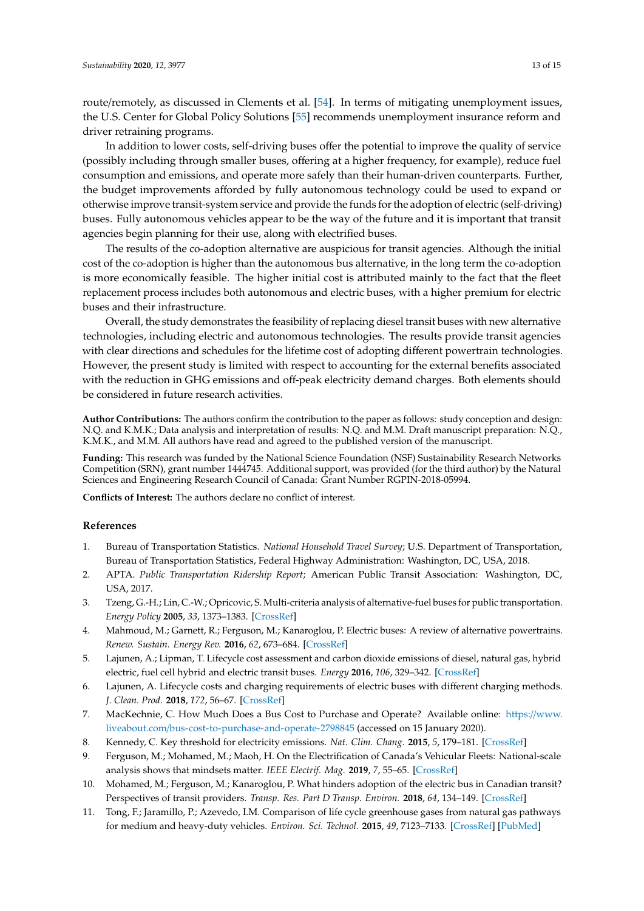route/remotely, as discussed in Clements et al. [\[54\]](#page-14-17). In terms of mitigating unemployment issues, the U.S. Center for Global Policy Solutions [\[55\]](#page-14-18) recommends unemployment insurance reform and driver retraining programs.

In addition to lower costs, self-driving buses offer the potential to improve the quality of service (possibly including through smaller buses, offering at a higher frequency, for example), reduce fuel consumption and emissions, and operate more safely than their human-driven counterparts. Further, the budget improvements afforded by fully autonomous technology could be used to expand or otherwise improve transit-system service and provide the funds for the adoption of electric (self-driving) buses. Fully autonomous vehicles appear to be the way of the future and it is important that transit agencies begin planning for their use, along with electrified buses.

The results of the co-adoption alternative are auspicious for transit agencies. Although the initial cost of the co-adoption is higher than the autonomous bus alternative, in the long term the co-adoption is more economically feasible. The higher initial cost is attributed mainly to the fact that the fleet replacement process includes both autonomous and electric buses, with a higher premium for electric buses and their infrastructure.

Overall, the study demonstrates the feasibility of replacing diesel transit buses with new alternative technologies, including electric and autonomous technologies. The results provide transit agencies with clear directions and schedules for the lifetime cost of adopting different powertrain technologies. However, the present study is limited with respect to accounting for the external benefits associated with the reduction in GHG emissions and off-peak electricity demand charges. Both elements should be considered in future research activities.

**Author Contributions:** The authors confirm the contribution to the paper as follows: study conception and design: N.Q. and K.M.K.; Data analysis and interpretation of results: N.Q. and M.M. Draft manuscript preparation: N.Q., K.M.K., and M.M. All authors have read and agreed to the published version of the manuscript.

**Funding:** This research was funded by the National Science Foundation (NSF) Sustainability Research Networks Competition (SRN), grant number 1444745. Additional support, was provided (for the third author) by the Natural Sciences and Engineering Research Council of Canada: Grant Number RGPIN-2018-05994.

**Conflicts of Interest:** The authors declare no conflict of interest.

### **References**

- <span id="page-12-0"></span>1. Bureau of Transportation Statistics. *National Household Travel Survey*; U.S. Department of Transportation, Bureau of Transportation Statistics, Federal Highway Administration: Washington, DC, USA, 2018.
- <span id="page-12-1"></span>2. APTA. *Public Transportation Ridership Report*; American Public Transit Association: Washington, DC, USA, 2017.
- <span id="page-12-2"></span>3. Tzeng, G.-H.; Lin, C.-W.; Opricovic, S. Multi-criteria analysis of alternative-fuel buses for public transportation. *Energy Policy* **2005**, *33*, 1373–1383. [\[CrossRef\]](http://dx.doi.org/10.1016/j.enpol.2003.12.014)
- <span id="page-12-3"></span>4. Mahmoud, M.; Garnett, R.; Ferguson, M.; Kanaroglou, P. Electric buses: A review of alternative powertrains. *Renew. Sustain. Energy Rev.* **2016**, *62*, 673–684. [\[CrossRef\]](http://dx.doi.org/10.1016/j.rser.2016.05.019)
- <span id="page-12-4"></span>5. Lajunen, A.; Lipman, T. Lifecycle cost assessment and carbon dioxide emissions of diesel, natural gas, hybrid electric, fuel cell hybrid and electric transit buses. *Energy* **2016**, *106*, 329–342. [\[CrossRef\]](http://dx.doi.org/10.1016/j.energy.2016.03.075)
- <span id="page-12-5"></span>6. Lajunen, A. Lifecycle costs and charging requirements of electric buses with different charging methods. *J. Clean. Prod.* **2018**, *172*, 56–67. [\[CrossRef\]](http://dx.doi.org/10.1016/j.jclepro.2017.10.066)
- <span id="page-12-6"></span>7. MacKechnie, C. How Much Does a Bus Cost to Purchase and Operate? Available online: https://[www.](https://www.liveabout.com/bus-cost-to-purchase-and-operate-2798845) liveabout.com/[bus-cost-to-purchase-and-operate-2798845](https://www.liveabout.com/bus-cost-to-purchase-and-operate-2798845) (accessed on 15 January 2020).
- <span id="page-12-7"></span>8. Kennedy, C. Key threshold for electricity emissions. *Nat. Clim. Chang.* **2015**, *5*, 179–181. [\[CrossRef\]](http://dx.doi.org/10.1038/nclimate2494)
- <span id="page-12-8"></span>9. Ferguson, M.; Mohamed, M.; Maoh, H. On the Electrification of Canada's Vehicular Fleets: National-scale analysis shows that mindsets matter. *IEEE Electrif. Mag.* **2019**, *7*, 55–65. [\[CrossRef\]](http://dx.doi.org/10.1109/MELE.2019.2925763)
- <span id="page-12-9"></span>10. Mohamed, M.; Ferguson, M.; Kanaroglou, P. What hinders adoption of the electric bus in Canadian transit? Perspectives of transit providers. *Transp. Res. Part D Transp. Environ.* **2018**, *64*, 134–149. [\[CrossRef\]](http://dx.doi.org/10.1016/j.trd.2017.09.019)
- <span id="page-12-10"></span>11. Tong, F.; Jaramillo, P.; Azevedo, I.M. Comparison of life cycle greenhouse gases from natural gas pathways for medium and heavy-duty vehicles. *Environ. Sci. Technol.* **2015**, *49*, 7123–7133. [\[CrossRef\]](http://dx.doi.org/10.1021/es5052759) [\[PubMed\]](http://www.ncbi.nlm.nih.gov/pubmed/25938939)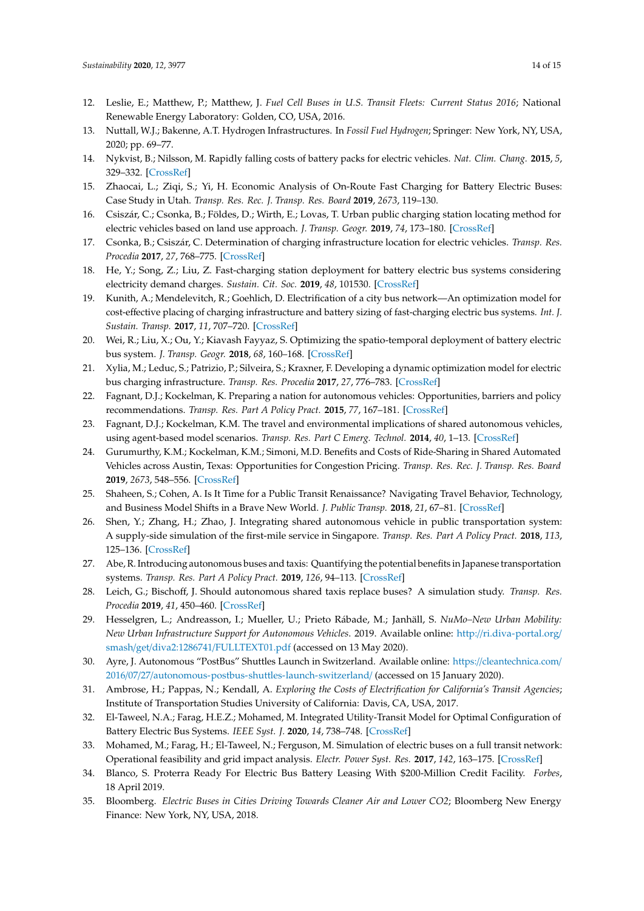- <span id="page-13-0"></span>12. Leslie, E.; Matthew, P.; Matthew, J. *Fuel Cell Buses in U.S. Transit Fleets: Current Status 2016*; National Renewable Energy Laboratory: Golden, CO, USA, 2016.
- <span id="page-13-1"></span>13. Nuttall, W.J.; Bakenne, A.T. Hydrogen Infrastructures. In *Fossil Fuel Hydrogen*; Springer: New York, NY, USA, 2020; pp. 69–77.
- <span id="page-13-2"></span>14. Nykvist, B.; Nilsson, M. Rapidly falling costs of battery packs for electric vehicles. *Nat. Clim. Chang.* **2015**, *5*, 329–332. [\[CrossRef\]](http://dx.doi.org/10.1038/nclimate2564)
- <span id="page-13-3"></span>15. Zhaocai, L.; Ziqi, S.; Yi, H. Economic Analysis of On-Route Fast Charging for Battery Electric Buses: Case Study in Utah. *Transp. Res. Rec. J. Transp. Res. Board* **2019**, *2673*, 119–130.
- <span id="page-13-4"></span>16. Csiszár, C.; Csonka, B.; Földes, D.; Wirth, E.; Lovas, T. Urban public charging station locating method for electric vehicles based on land use approach. *J. Transp. Geogr.* **2019**, *74*, 173–180. [\[CrossRef\]](http://dx.doi.org/10.1016/j.jtrangeo.2018.11.016)
- <span id="page-13-5"></span>17. Csonka, B.; Csiszár, C. Determination of charging infrastructure location for electric vehicles. *Transp. Res. Procedia* **2017**, *27*, 768–775. [\[CrossRef\]](http://dx.doi.org/10.1016/j.trpro.2017.12.115)
- <span id="page-13-6"></span>18. He, Y.; Song, Z.; Liu, Z. Fast-charging station deployment for battery electric bus systems considering electricity demand charges. *Sustain. Cit. Soc.* **2019**, *48*, 101530. [\[CrossRef\]](http://dx.doi.org/10.1016/j.scs.2019.101530)
- 19. Kunith, A.; Mendelevitch, R.; Goehlich, D. Electrification of a city bus network—An optimization model for cost-effective placing of charging infrastructure and battery sizing of fast-charging electric bus systems. *Int. J. Sustain. Transp.* **2017**, *11*, 707–720. [\[CrossRef\]](http://dx.doi.org/10.1080/15568318.2017.1310962)
- 20. Wei, R.; Liu, X.; Ou, Y.; Kiavash Fayyaz, S. Optimizing the spatio-temporal deployment of battery electric bus system. *J. Transp. Geogr.* **2018**, *68*, 160–168. [\[CrossRef\]](http://dx.doi.org/10.1016/j.jtrangeo.2018.03.013)
- <span id="page-13-7"></span>21. Xylia, M.; Leduc, S.; Patrizio, P.; Silveira, S.; Kraxner, F. Developing a dynamic optimization model for electric bus charging infrastructure. *Transp. Res. Procedia* **2017**, *27*, 776–783. [\[CrossRef\]](http://dx.doi.org/10.1016/j.trpro.2017.12.075)
- <span id="page-13-8"></span>22. Fagnant, D.J.; Kockelman, K. Preparing a nation for autonomous vehicles: Opportunities, barriers and policy recommendations. *Transp. Res. Part A Policy Pract.* **2015**, *77*, 167–181. [\[CrossRef\]](http://dx.doi.org/10.1016/j.tra.2015.04.003)
- <span id="page-13-21"></span>23. Fagnant, D.J.; Kockelman, K.M. The travel and environmental implications of shared autonomous vehicles, using agent-based model scenarios. *Transp. Res. Part C Emerg. Technol.* **2014**, *40*, 1–13. [\[CrossRef\]](http://dx.doi.org/10.1016/j.trc.2013.12.001)
- <span id="page-13-9"></span>24. Gurumurthy, K.M.; Kockelman, K.M.; Simoni, M.D. Benefits and Costs of Ride-Sharing in Shared Automated Vehicles across Austin, Texas: Opportunities for Congestion Pricing. *Transp. Res. Rec. J. Transp. Res. Board* **2019**, *2673*, 548–556. [\[CrossRef\]](http://dx.doi.org/10.1177/0361198119850785)
- <span id="page-13-10"></span>25. Shaheen, S.; Cohen, A. Is It Time for a Public Transit Renaissance? Navigating Travel Behavior, Technology, and Business Model Shifts in a Brave New World. *J. Public Transp.* **2018**, *21*, 67–81. [\[CrossRef\]](http://dx.doi.org/10.5038/2375-0901.21.1.8)
- <span id="page-13-11"></span>26. Shen, Y.; Zhang, H.; Zhao, J. Integrating shared autonomous vehicle in public transportation system: A supply-side simulation of the first-mile service in Singapore. *Transp. Res. Part A Policy Pract.* **2018**, *113*, 125–136. [\[CrossRef\]](http://dx.doi.org/10.1016/j.tra.2018.04.004)
- <span id="page-13-12"></span>27. Abe, R. Introducing autonomous buses and taxis: Quantifying the potential benefits in Japanese transportation systems. *Transp. Res. Part A Policy Pract.* **2019**, *126*, 94–113. [\[CrossRef\]](http://dx.doi.org/10.1016/j.tra.2019.06.003)
- <span id="page-13-13"></span>28. Leich, G.; Bischoff, J. Should autonomous shared taxis replace buses? A simulation study. *Transp. Res. Procedia* **2019**, *41*, 450–460. [\[CrossRef\]](http://dx.doi.org/10.1016/j.trpro.2019.09.076)
- <span id="page-13-14"></span>29. Hesselgren, L.; Andreasson, I.; Mueller, U.; Prieto Rábade, M.; Janhäll, S. *NuMo–New Urban Mobility: New Urban Infrastructure Support for Autonomous Vehicles*. 2019. Available online: http://[ri.diva-portal.org](http://ri.diva-portal.org/smash/get/diva2:1286741/FULLTEXT01.pdf)/ smash/get/diva2:1286741/[FULLTEXT01.pdf](http://ri.diva-portal.org/smash/get/diva2:1286741/FULLTEXT01.pdf) (accessed on 13 May 2020).
- <span id="page-13-15"></span>30. Ayre, J. Autonomous "PostBus" Shuttles Launch in Switzerland. Available online: https://[cleantechnica.com](https://cleantechnica.com/2016/07/27/autonomous-postbus-shuttles-launch-switzerland/)/ 2016/07/27/[autonomous-postbus-shuttles-launch-switzerland](https://cleantechnica.com/2016/07/27/autonomous-postbus-shuttles-launch-switzerland/)/ (accessed on 15 January 2020).
- <span id="page-13-16"></span>31. Ambrose, H.; Pappas, N.; Kendall, A. *Exploring the Costs of Electrification for California's Transit Agencies*; Institute of Transportation Studies University of California: Davis, CA, USA, 2017.
- <span id="page-13-17"></span>32. El-Taweel, N.A.; Farag, H.E.Z.; Mohamed, M. Integrated Utility-Transit Model for Optimal Configuration of Battery Electric Bus Systems. *IEEE Syst. J.* **2020**, *14*, 738–748. [\[CrossRef\]](http://dx.doi.org/10.1109/JSYST.2019.2926460)
- <span id="page-13-18"></span>33. Mohamed, M.; Farag, H.; El-Taweel, N.; Ferguson, M. Simulation of electric buses on a full transit network: Operational feasibility and grid impact analysis. *Electr. Power Syst. Res.* **2017**, *142*, 163–175. [\[CrossRef\]](http://dx.doi.org/10.1016/j.epsr.2016.09.032)
- <span id="page-13-19"></span>34. Blanco, S. Proterra Ready For Electric Bus Battery Leasing With \$200-Million Credit Facility. *Forbes*, 18 April 2019.
- <span id="page-13-20"></span>35. Bloomberg. *Electric Buses in Cities Driving Towards Cleaner Air and Lower CO2*; Bloomberg New Energy Finance: New York, NY, USA, 2018.